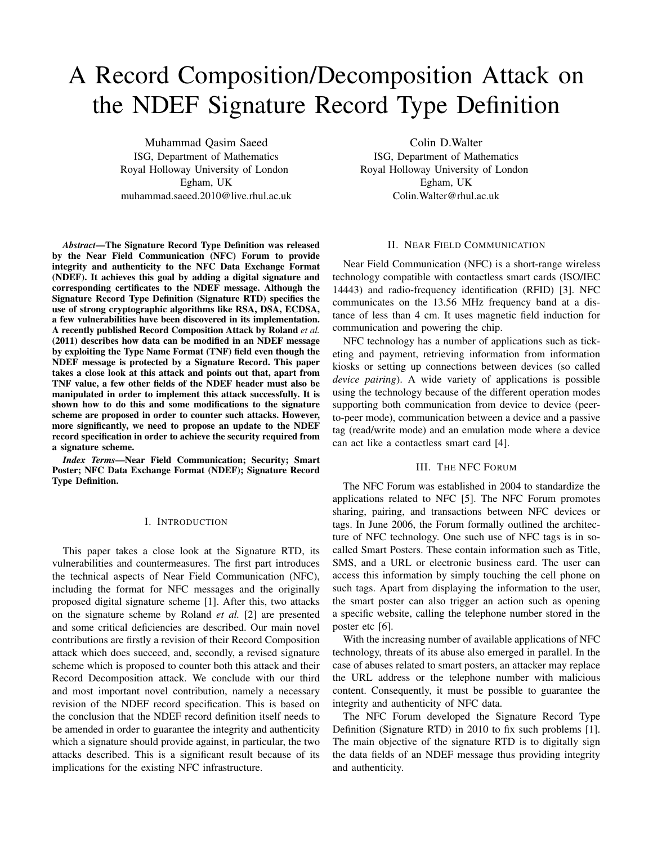# A Record Composition/Decomposition Attack on the NDEF Signature Record Type Definition

Muhammad Qasim Saeed ISG, Department of Mathematics Royal Holloway University of London Egham, UK muhammad.saeed.2010@live.rhul.ac.uk

*Abstract*—The Signature Record Type Definition was released by the Near Field Communication (NFC) Forum to provide integrity and authenticity to the NFC Data Exchange Format (NDEF). It achieves this goal by adding a digital signature and corresponding certificates to the NDEF message. Although the Signature Record Type Definition (Signature RTD) specifies the use of strong cryptographic algorithms like RSA, DSA, ECDSA, a few vulnerabilities have been discovered in its implementation. A recently published Record Composition Attack by Roland *et al.* (2011) describes how data can be modified in an NDEF message by exploiting the Type Name Format (TNF) field even though the NDEF message is protected by a Signature Record. This paper takes a close look at this attack and points out that, apart from TNF value, a few other fields of the NDEF header must also be manipulated in order to implement this attack successfully. It is shown how to do this and some modifications to the signature scheme are proposed in order to counter such attacks. However, more significantly, we need to propose an update to the NDEF record specification in order to achieve the security required from a signature scheme.

*Index Terms*—Near Field Communication; Security; Smart Poster; NFC Data Exchange Format (NDEF); Signature Record Type Definition.

# I. INTRODUCTION

This paper takes a close look at the Signature RTD, its vulnerabilities and countermeasures. The first part introduces the technical aspects of Near Field Communication (NFC), including the format for NFC messages and the originally proposed digital signature scheme [1]. After this, two attacks on the signature scheme by Roland *et al.* [2] are presented and some critical deficiencies are described. Our main novel contributions are firstly a revision of their Record Composition attack which does succeed, and, secondly, a revised signature scheme which is proposed to counter both this attack and their Record Decomposition attack. We conclude with our third and most important novel contribution, namely a necessary revision of the NDEF record specification. This is based on the conclusion that the NDEF record definition itself needs to be amended in order to guarantee the integrity and authenticity which a signature should provide against, in particular, the two attacks described. This is a significant result because of its implications for the existing NFC infrastructure.

Colin D.Walter

ISG, Department of Mathematics Royal Holloway University of London Egham, UK Colin.Walter@rhul.ac.uk

## II. NEAR FIELD COMMUNICATION

Near Field Communication (NFC) is a short-range wireless technology compatible with contactless smart cards (ISO/IEC 14443) and radio-frequency identification (RFID) [3]. NFC communicates on the 13.56 MHz frequency band at a distance of less than 4 cm. It uses magnetic field induction for communication and powering the chip.

NFC technology has a number of applications such as ticketing and payment, retrieving information from information kiosks or setting up connections between devices (so called *device pairing*). A wide variety of applications is possible using the technology because of the different operation modes supporting both communication from device to device (peerto-peer mode), communication between a device and a passive tag (read/write mode) and an emulation mode where a device can act like a contactless smart card [4].

## III. THE NFC FORUM

The NFC Forum was established in 2004 to standardize the applications related to NFC [5]. The NFC Forum promotes sharing, pairing, and transactions between NFC devices or tags. In June 2006, the Forum formally outlined the architecture of NFC technology. One such use of NFC tags is in socalled Smart Posters. These contain information such as Title, SMS, and a URL or electronic business card. The user can access this information by simply touching the cell phone on such tags. Apart from displaying the information to the user, the smart poster can also trigger an action such as opening a specific website, calling the telephone number stored in the poster etc [6].

With the increasing number of available applications of NFC technology, threats of its abuse also emerged in parallel. In the case of abuses related to smart posters, an attacker may replace the URL address or the telephone number with malicious content. Consequently, it must be possible to guarantee the integrity and authenticity of NFC data.

The NFC Forum developed the Signature Record Type Definition (Signature RTD) in 2010 to fix such problems [1]. The main objective of the signature RTD is to digitally sign the data fields of an NDEF message thus providing integrity and authenticity.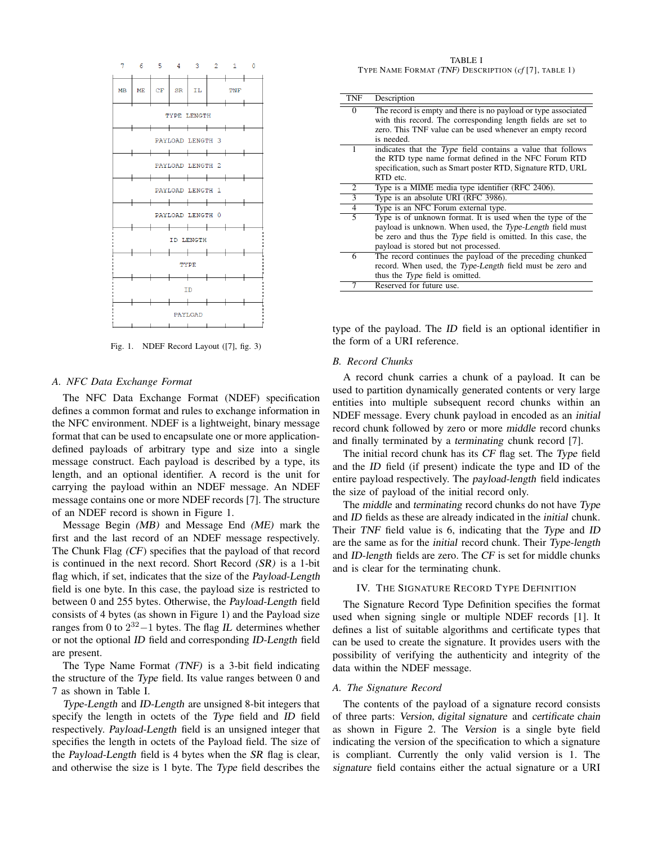

Fig. 1. NDEF Record Layout ([7], fig. 3)

#### *A. NFC Data Exchange Format*

The NFC Data Exchange Format (NDEF) specification defines a common format and rules to exchange information in the NFC environment. NDEF is a lightweight, binary message format that can be used to encapsulate one or more applicationdefined payloads of arbitrary type and size into a single message construct. Each payload is described by a type, its length, and an optional identifier. A record is the unit for carrying the payload within an NDEF message. An NDEF message contains one or more NDEF records [7]. The structure of an NDEF record is shown in Figure 1.

Message Begin (MB) and Message End (ME) mark the first and the last record of an NDEF message respectively. The Chunk Flag (CF) specifies that the payload of that record is continued in the next record. Short Record (SR) is a 1-bit flag which, if set, indicates that the size of the Payload-Length field is one byte. In this case, the payload size is restricted to between 0 and 255 bytes. Otherwise, the Payload-Length field consists of 4 bytes (as shown in Figure 1) and the Payload size ranges from 0 to  $2^{32} - 1$  bytes. The flag IL determines whether or not the optional ID field and corresponding ID-Length field are present.

The Type Name Format (TNF) is a 3-bit field indicating the structure of the Type field. Its value ranges between 0 and 7 as shown in Table I.

Type-Length and ID-Length are unsigned 8-bit integers that specify the length in octets of the Type field and ID field respectively. Payload-Length field is an unsigned integer that specifies the length in octets of the Payload field. The size of the Payload-Length field is 4 bytes when the SR flag is clear, and otherwise the size is 1 byte. The Type field describes the

TABLE I TYPE NAME FORMAT (TNF) DESCRIPTION (*cf* [7], TABLE 1)

| TNF | Description                                                    |  |  |  |  |
|-----|----------------------------------------------------------------|--|--|--|--|
| 0   | The record is empty and there is no payload or type associated |  |  |  |  |
|     | with this record. The corresponding length fields are set to   |  |  |  |  |
|     | zero. This TNF value can be used whenever an empty record      |  |  |  |  |
|     | is needed.                                                     |  |  |  |  |
| 1   | indicates that the Type field contains a value that follows    |  |  |  |  |
|     | the RTD type name format defined in the NFC Forum RTD          |  |  |  |  |
|     | specification, such as Smart poster RTD, Signature RTD, URL    |  |  |  |  |
|     | RTD etc.                                                       |  |  |  |  |
| 2   | Type is a MIME media type identifier (RFC 2406).               |  |  |  |  |
| 3   | Type is an absolute URI (RFC 3986).                            |  |  |  |  |
| 4   | Type is an NFC Forum external type.                            |  |  |  |  |
| 5   | Type is of unknown format. It is used when the type of the     |  |  |  |  |
|     | payload is unknown. When used, the Type-Length field must      |  |  |  |  |
|     | be zero and thus the Type field is omitted. In this case, the  |  |  |  |  |
|     | payload is stored but not processed.                           |  |  |  |  |
| 6   | The record continues the payload of the preceding chunked      |  |  |  |  |
|     | record. When used, the Type-Length field must be zero and      |  |  |  |  |
|     | thus the <i>Type</i> field is omitted.                         |  |  |  |  |
| 7   | Reserved for future use.                                       |  |  |  |  |

type of the payload. The ID field is an optional identifier in the form of a URI reference.

#### *B. Record Chunks*

A record chunk carries a chunk of a payload. It can be used to partition dynamically generated contents or very large entities into multiple subsequent record chunks within an NDEF message. Every chunk payload in encoded as an initial record chunk followed by zero or more middle record chunks and finally terminated by a terminating chunk record [7].

The initial record chunk has its CF flag set. The Type field and the ID field (if present) indicate the type and ID of the entire payload respectively. The payload-length field indicates the size of payload of the initial record only.

The middle and terminating record chunks do not have Type and ID fields as these are already indicated in the initial chunk. Their TNF field value is 6, indicating that the Type and ID are the same as for the initial record chunk. Their Type-length and ID-length fields are zero. The CF is set for middle chunks and is clear for the terminating chunk.

# IV. THE SIGNATURE RECORD TYPE DEFINITION

The Signature Record Type Definition specifies the format used when signing single or multiple NDEF records [1]. It defines a list of suitable algorithms and certificate types that can be used to create the signature. It provides users with the possibility of verifying the authenticity and integrity of the data within the NDEF message.

## *A. The Signature Record*

The contents of the payload of a signature record consists of three parts: Version, digital signature and certificate chain as shown in Figure 2. The Version is a single byte field indicating the version of the specification to which a signature is compliant. Currently the only valid version is 1. The signature field contains either the actual signature or a URI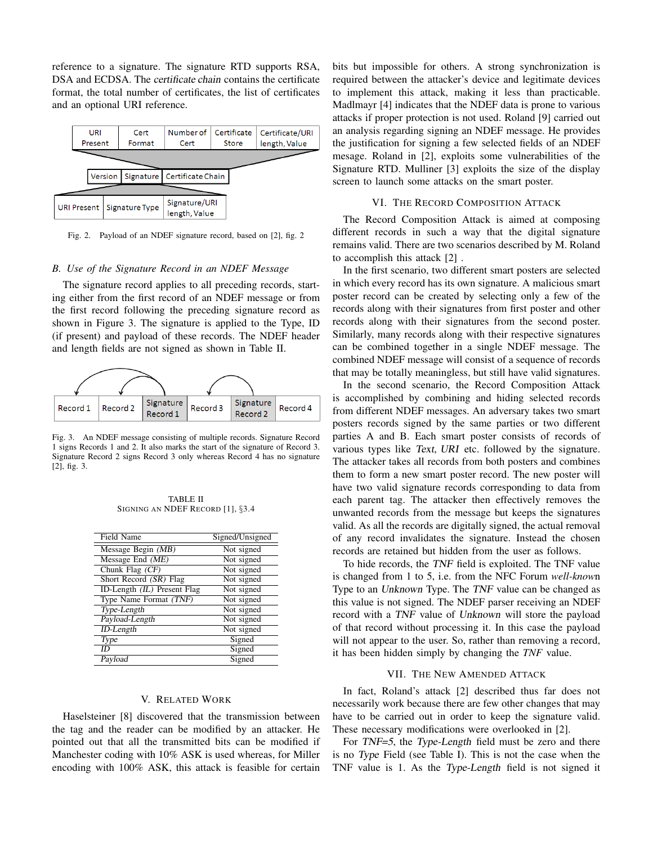reference to a signature. The signature RTD supports RSA, DSA and ECDSA. The certificate chain contains the certificate format, the total number of certificates, the list of certificates and an optional URI reference.



Fig. 2. Payload of an NDEF signature record, based on [2], fig. 2

# *B. Use of the Signature Record in an NDEF Message*

The signature record applies to all preceding records, starting either from the first record of an NDEF message or from the first record following the preceding signature record as shown in Figure 3. The signature is applied to the Type, ID (if present) and payload of these records. The NDEF header and length fields are not signed as shown in Table II.



Fig. 3. An NDEF message consisting of multiple records. Signature Record 1 signs Records 1 and 2. It also marks the start of the signature of Record 3. Signature Record 2 signs Record 3 only whereas Record 4 has no signature [2], fig. 3.

TABLE II SIGNING AN NDEF RECORD [1], §3.4

| <b>Field Name</b>           | Signed/Unsigned |
|-----------------------------|-----------------|
| Message Begin (MB)          | Not signed      |
| Message End $(ME)$          | Not signed      |
| Chunk Flag (CF)             | Not signed      |
| Short Record (SR) Flag      | Not signed      |
| ID-Length (IL) Present Flag | Not signed      |
| Type Name Format (TNF)      | Not signed      |
| Type-Length                 | Not signed      |
| Payload-Length              | Not signed      |
| ID-Length                   | Not signed      |
| Type                        | Signed          |
| ID                          | Signed          |
| Payload                     | Signed          |

#### V. RELATED WORK

Haselsteiner [8] discovered that the transmission between the tag and the reader can be modified by an attacker. He pointed out that all the transmitted bits can be modified if Manchester coding with 10% ASK is used whereas, for Miller encoding with 100% ASK, this attack is feasible for certain bits but impossible for others. A strong synchronization is required between the attacker's device and legitimate devices to implement this attack, making it less than practicable. Madlmayr [4] indicates that the NDEF data is prone to various attacks if proper protection is not used. Roland [9] carried out an analysis regarding signing an NDEF message. He provides the justification for signing a few selected fields of an NDEF mesage. Roland in [2], exploits some vulnerabilities of the Signature RTD. Mulliner [3] exploits the size of the display screen to launch some attacks on the smart poster.

#### VI. THE RECORD COMPOSITION ATTACK

The Record Composition Attack is aimed at composing different records in such a way that the digital signature remains valid. There are two scenarios described by M. Roland to accomplish this attack [2] .

In the first scenario, two different smart posters are selected in which every record has its own signature. A malicious smart poster record can be created by selecting only a few of the records along with their signatures from first poster and other records along with their signatures from the second poster. Similarly, many records along with their respective signatures can be combined together in a single NDEF message. The combined NDEF message will consist of a sequence of records that may be totally meaningless, but still have valid signatures.

In the second scenario, the Record Composition Attack is accomplished by combining and hiding selected records from different NDEF messages. An adversary takes two smart posters records signed by the same parties or two different parties A and B. Each smart poster consists of records of various types like Text, URI etc. followed by the signature. The attacker takes all records from both posters and combines them to form a new smart poster record. The new poster will have two valid signature records corresponding to data from each parent tag. The attacker then effectively removes the unwanted records from the message but keeps the signatures valid. As all the records are digitally signed, the actual removal of any record invalidates the signature. Instead the chosen records are retained but hidden from the user as follows.

To hide records, the TNF field is exploited. The TNF value is changed from 1 to 5, i.e. from the NFC Forum *well-know*n Type to an Unknown Type. The TNF value can be changed as this value is not signed. The NDEF parser receiving an NDEF record with a TNF value of Unknown will store the payload of that record without processing it. In this case the payload will not appear to the user. So, rather than removing a record, it has been hidden simply by changing the *TNF* value.

## VII. THE NEW AMENDED ATTACK

In fact, Roland's attack [2] described thus far does not necessarily work because there are few other changes that may have to be carried out in order to keep the signature valid. These necessary modifications were overlooked in [2].

For TNF=5, the Type-Length field must be zero and there is no Type Field (see Table I). This is not the case when the TNF value is 1. As the Type-Length field is not signed it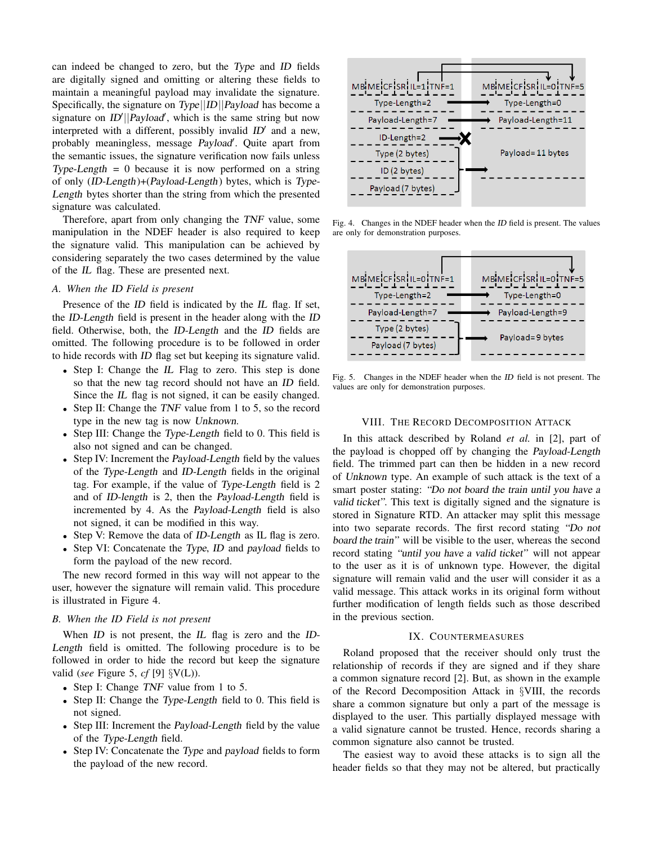can indeed be changed to zero, but the Type and ID fields are digitally signed and omitting or altering these fields to maintain a meaningful payload may invalidate the signature. Specifically, the signature on Type||ID||Payload has become a signature on  $ID'||Payload'$ , which is the same string but now interpreted with a different, possibly invalid  $ID'$  and a new, probably meaningless, message Payload'. Quite apart from the semantic issues, the signature verification now fails unless Type-Length  $= 0$  because it is now performed on a string of only (ID-Length)+(Payload-Length) bytes, which is Type-Length bytes shorter than the string from which the presented signature was calculated.

Therefore, apart from only changing the TNF value, some manipulation in the NDEF header is also required to keep the signature valid. This manipulation can be achieved by considering separately the two cases determined by the value of the IL flag. These are presented next.

# *A. When the* ID *Field is present*

Presence of the ID field is indicated by the IL flag. If set, the ID-Length field is present in the header along with the ID field. Otherwise, both, the ID-Length and the ID fields are omitted. The following procedure is to be followed in order to hide records with ID flag set but keeping its signature valid.

- Step I: Change the IL Flag to zero. This step is done so that the new tag record should not have an ID field. Since the IL flag is not signed, it can be easily changed.
- Step II: Change the TNF value from 1 to 5, so the record type in the new tag is now Unknown.
- Step III: Change the Type-Length field to 0. This field is also not signed and can be changed.
- Step IV: Increment the *Payload-Length* field by the values of the Type-Length and ID-Length fields in the original tag. For example, if the value of Type-Length field is 2 and of ID-length is 2, then the Payload-Length field is incremented by 4. As the Payload-Length field is also not signed, it can be modified in this way.
- Step V: Remove the data of *ID-Length* as IL flag is zero.
- Step VI: Concatenate the Type, ID and payload fields to form the payload of the new record.

The new record formed in this way will not appear to the user, however the signature will remain valid. This procedure is illustrated in Figure 4.

## *B. When the ID Field is not present*

When *ID* is not present, the *IL* flag is zero and the *ID*-Length field is omitted. The following procedure is to be followed in order to hide the record but keep the signature valid (*see* Figure 5, *cf* [9] §V(L)).

- Step I: Change TNF value from 1 to 5.
- Step II: Change the Type-Length field to 0. This field is not signed.
- Step III: Increment the *Payload-Length* field by the value of the Type-Length field.
- Step IV: Concatenate the Type and payload fields to form the payload of the new record.



Fig. 4. Changes in the NDEF header when the ID field is present. The values are only for demonstration purposes.



Fig. 5. Changes in the NDEF header when the ID field is not present. The values are only for demonstration purposes.

# VIII. THE RECORD DECOMPOSITION ATTACK

In this attack described by Roland *et al.* in [2], part of the payload is chopped off by changing the Payload-Length field. The trimmed part can then be hidden in a new record of Unknown type. An example of such attack is the text of a smart poster stating: "Do not board the train until you have a valid ticket". This text is digitally signed and the signature is stored in Signature RTD. An attacker may split this message into two separate records. The first record stating "Do not board the train" will be visible to the user, whereas the second record stating "until you have a valid ticket" will not appear to the user as it is of unknown type. However, the digital signature will remain valid and the user will consider it as a valid message. This attack works in its original form without further modification of length fields such as those described in the previous section.

#### IX. COUNTERMEASURES

Roland proposed that the receiver should only trust the relationship of records if they are signed and if they share a common signature record [2]. But, as shown in the example of the Record Decomposition Attack in §VIII, the records share a common signature but only a part of the message is displayed to the user. This partially displayed message with a valid signature cannot be trusted. Hence, records sharing a common signature also cannot be trusted.

The easiest way to avoid these attacks is to sign all the header fields so that they may not be altered, but practically